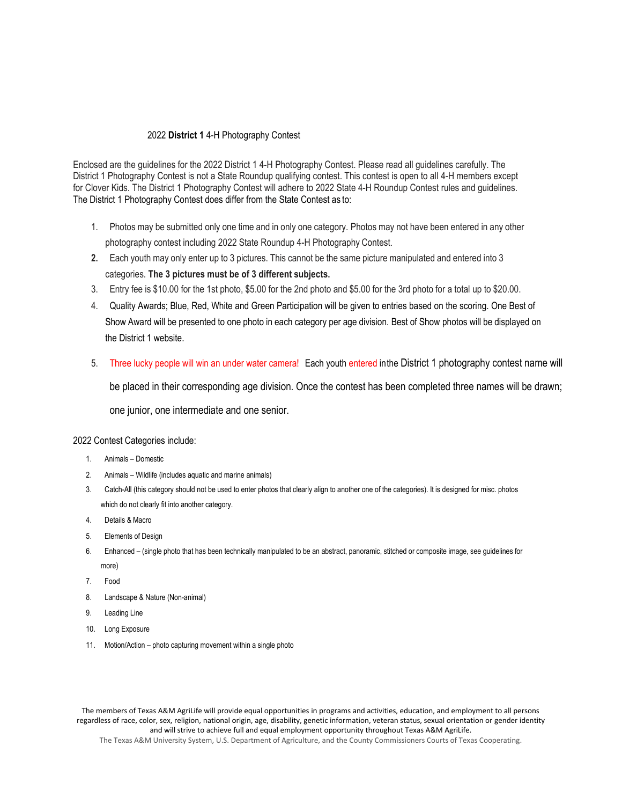## 2022 **District 1** 4-H Photography Contest

Enclosed are the guidelines for the 2022 District 1 4-H Photography Contest. Please read all guidelines carefully. The District 1 Photography Contest is not a State Roundup qualifying contest. This contest is open to all 4-H members except for Clover Kids. The District 1 Photography Contest will adhere to 2022 State 4-H Roundup Contest rules and guidelines. The District 1 Photography Contest does differ from the State Contest as to:

- 1. Photos may be submitted only one time and in only one category. Photos may not have been entered in any other photography contest including 2022 State Roundup 4-H Photography Contest.
- **2.** Each youth may only enter up to 3 pictures. This cannot be the same picture manipulated and entered into 3 categories. **The 3 pictures must be of 3 different subjects.**
- 3. Entry fee is \$10.00 for the 1st photo, \$5.00 for the 2nd photo and \$5.00 for the 3rd photo for a total up to \$20.00.
- 4. Quality Awards; Blue, Red, White and Green Participation will be given to entries based on the scoring. One Best of Show Award will be presented to one photo in each category per age division. Best of Show photos will be displayed on the District 1 website.
- 5. Three lucky people will win an under water camera! Each youth entered inthe District 1 photography contest name will

be placed in their corresponding age division. Once the contest has been completed three names will be drawn;

one junior, one intermediate and one senior.

2022 Contest Categories include:

- 1. Animals Domestic
- 2. Animals Wildlife (includes aquatic and marine animals)
- 3. Catch-All (this category should not be used to enter photos that clearly align to another one of the categories). It is designed for misc. photos which do not clearly fit into another category.
- 4. Details & Macro
- 5. Elements of Design
- 6. Enhanced (single photo that has been technically manipulated to be an abstract, panoramic, stitched or composite image, see guidelines for more)
- 7. Food
- 8. Landscape & Nature (Non-animal)
- 9. Leading Line
- 10. Long Exposure
- 11. Motion/Action photo capturing movement within a single photo

The members of Texas A&M AgriLife will provide equal opportunities in programs and activities, education, and employment to all persons regardless of race, color, sex, religion, national origin, age, disability, genetic information, veteran status, sexual orientation or gender identity and will strive to achieve full and equal employment opportunity throughout Texas A&M AgriLife.

The Texas A&M University System, U.S. Department of Agriculture, and the County Commissioners Courts of Texas Cooperating.